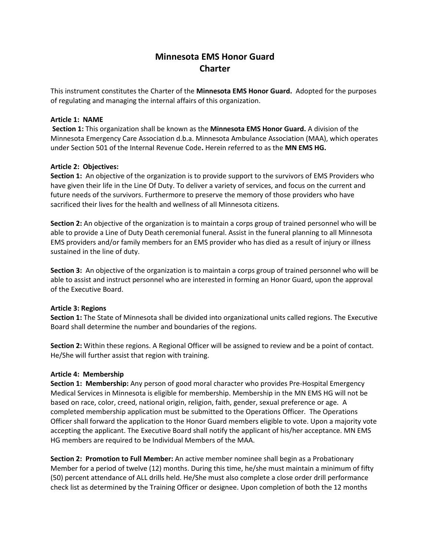# **Minnesota EMS Honor Guard Charter**

This instrument constitutes the Charter of the **Minnesota EMS Honor Guard.** Adopted for the purposes of regulating and managing the internal affairs of this organization.

#### **Article 1: NAME**

**Section 1:** This organization shall be known as the **Minnesota EMS Honor Guard.** A division of the Minnesota Emergency Care Association d.b.a. Minnesota Ambulance Association (MAA), which operates under Section 501 of the Internal Revenue Code**.** Herein referred to as the **MN EMS HG.**

#### **Article 2: Objectives:**

**Section 1:** An objective of the organization is to provide support to the survivors of EMS Providers who have given their life in the Line Of Duty. To deliver a variety of services, and focus on the current and future needs of the survivors. Furthermore to preserve the memory of those providers who have sacrificed their lives for the health and wellness of all Minnesota citizens.

**Section 2:** An objective of the organization is to maintain a corps group of trained personnel who will be able to provide a Line of Duty Death ceremonial funeral. Assist in the funeral planning to all Minnesota EMS providers and/or family members for an EMS provider who has died as a result of injury or illness sustained in the line of duty.

**Section 3:** An objective of the organization is to maintain a corps group of trained personnel who will be able to assist and instruct personnel who are interested in forming an Honor Guard, upon the approval of the Executive Board.

#### **Article 3: Regions**

**Section 1:** The State of Minnesota shall be divided into organizational units called regions. The Executive Board shall determine the number and boundaries of the regions.

**Section 2:** Within these regions. A Regional Officer will be assigned to review and be a point of contact. He/She will further assist that region with training.

#### **Article 4: Membership**

**Section 1: Membership:** Any person of good moral character who provides Pre-Hospital Emergency Medical Services in Minnesota is eligible for membership. Membership in the MN EMS HG will not be based on race, color, creed, national origin, religion, faith, gender, sexual preference or age. A completed membership application must be submitted to the Operations Officer. The Operations Officer shall forward the application to the Honor Guard members eligible to vote. Upon a majority vote accepting the applicant. The Executive Board shall notify the applicant of his/her acceptance. MN EMS HG members are required to be Individual Members of the MAA.

**Section 2: Promotion to Full Member:** An active member nominee shall begin as a Probationary Member for a period of twelve (12) months. During this time, he/she must maintain a minimum of fifty (50) percent attendance of ALL drills held. He/She must also complete a close order drill performance check list as determined by the Training Officer or designee. Upon completion of both the 12 months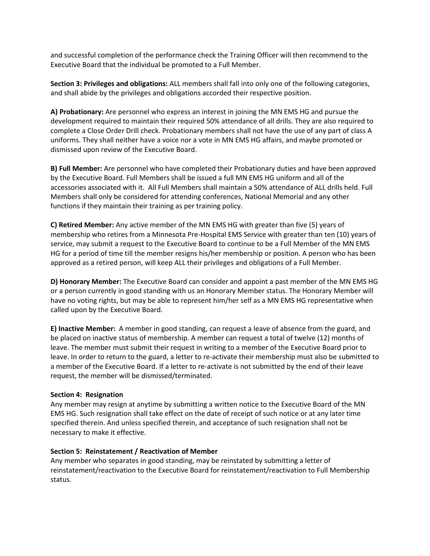and successful completion of the performance check the Training Officer will then recommend to the Executive Board that the individual be promoted to a Full Member.

**Section 3: Privileges and obligations:** ALL members shall fall into only one of the following categories, and shall abide by the privileges and obligations accorded their respective position.

**A) Probationary:** Are personnel who express an interest in joining the MN EMS HG and pursue the development required to maintain their required 50% attendance of all drills. They are also required to complete a Close Order Drill check. Probationary members shall not have the use of any part of class A uniforms. They shall neither have a voice nor a vote in MN EMS HG affairs, and maybe promoted or dismissed upon review of the Executive Board.

**B) Full Member:** Are personnel who have completed their Probationary duties and have been approved by the Executive Board. Full Members shall be issued a full MN EMS HG uniform and all of the accessories associated with it. All Full Members shall maintain a 50% attendance of ALL drills held. Full Members shall only be considered for attending conferences, National Memorial and any other functions if they maintain their training as per training policy.

**C) Retired Member:** Any active member of the MN EMS HG with greater than five (5) years of membership who retires from a Minnesota Pre-Hospital EMS Service with greater than ten (10) years of service, may submit a request to the Executive Board to continue to be a Full Member of the MN EMS HG for a period of time till the member resigns his/her membership or position. A person who has been approved as a retired person, will keep ALL their privileges and obligations of a Full Member.

**D) Honorary Member:** The Executive Board can consider and appoint a past member of the MN EMS HG or a person currently in good standing with us an Honorary Member status. The Honorary Member will have no voting rights, but may be able to represent him/her self as a MN EMS HG representative when called upon by the Executive Board.

**E) Inactive Member:** A member in good standing, can request a leave of absence from the guard, and be placed on inactive status of membership. A member can request a total of twelve (12) months of leave. The member must submit their request in writing to a member of the Executive Board prior to leave. In order to return to the guard, a letter to re-activate their membership must also be submitted to a member of the Executive Board. If a letter to re-activate is not submitted by the end of their leave request, the member will be dismissed/terminated.

## **Section 4: Resignation**

Any member may resign at anytime by submitting a written notice to the Executive Board of the MN EMS HG. Such resignation shall take effect on the date of receipt of such notice or at any later time specified therein. And unless specified therein, and acceptance of such resignation shall not be necessary to make it effective.

## **Section 5: Reinstatement / Reactivation of Member**

Any member who separates in good standing, may be reinstated by submitting a letter of reinstatement/reactivation to the Executive Board for reinstatement/reactivation to Full Membership status.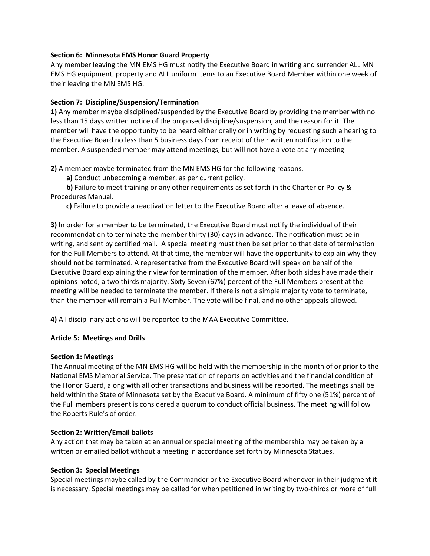#### **Section 6: Minnesota EMS Honor Guard Property**

Any member leaving the MN EMS HG must notify the Executive Board in writing and surrender ALL MN EMS HG equipment, property and ALL uniform items to an Executive Board Member within one week of their leaving the MN EMS HG.

## **Section 7: Discipline/Suspension/Termination**

**1)** Any member maybe disciplined/suspended by the Executive Board by providing the member with no less than 15 days written notice of the proposed discipline/suspension, and the reason for it. The member will have the opportunity to be heard either orally or in writing by requesting such a hearing to the Executive Board no less than 5 business days from receipt of their written notification to the member. A suspended member may attend meetings, but will not have a vote at any meeting

**2)** A member maybe terminated from the MN EMS HG for the following reasons.

**a)** Conduct unbecoming a member, as per current policy.

 **b)** Failure to meet training or any other requirements as set forth in the Charter or Policy & Procedures Manual.

**c)** Failure to provide a reactivation letter to the Executive Board after a leave of absence.

**3)** In order for a member to be terminated, the Executive Board must notify the individual of their recommendation to terminate the member thirty (30) days in advance. The notification must be in writing, and sent by certified mail. A special meeting must then be set prior to that date of termination for the Full Members to attend. At that time, the member will have the opportunity to explain why they should not be terminated. A representative from the Executive Board will speak on behalf of the Executive Board explaining their view for termination of the member. After both sides have made their opinions noted, a two thirds majority. Sixty Seven (67%) percent of the Full Members present at the meeting will be needed to terminate the member. If there is not a simple majority vote to terminate, than the member will remain a Full Member. The vote will be final, and no other appeals allowed.

**4)** All disciplinary actions will be reported to the MAA Executive Committee.

## **Article 5: Meetings and Drills**

## **Section 1: Meetings**

The Annual meeting of the MN EMS HG will be held with the membership in the month of or prior to the National EMS Memorial Service. The presentation of reports on activities and the financial condition of the Honor Guard, along with all other transactions and business will be reported. The meetings shall be held within the State of Minnesota set by the Executive Board. A minimum of fifty one (51%) percent of the Full members present is considered a quorum to conduct official business. The meeting will follow the Roberts Rule's of order.

## **Section 2: Written/Email ballots**

Any action that may be taken at an annual or special meeting of the membership may be taken by a written or emailed ballot without a meeting in accordance set forth by Minnesota Statues.

#### **Section 3: Special Meetings**

Special meetings maybe called by the Commander or the Executive Board whenever in their judgment it is necessary. Special meetings may be called for when petitioned in writing by two-thirds or more of full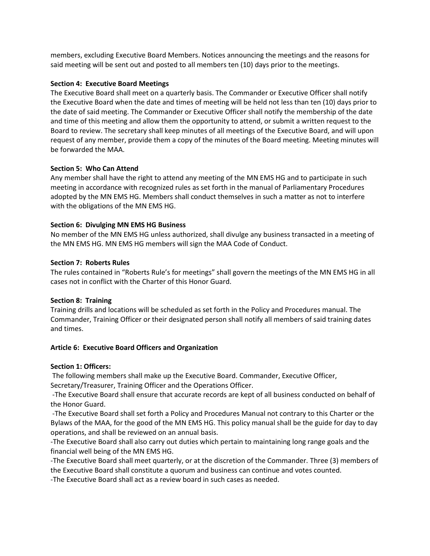members, excluding Executive Board Members. Notices announcing the meetings and the reasons for said meeting will be sent out and posted to all members ten (10) days prior to the meetings.

#### **Section 4: Executive Board Meetings**

The Executive Board shall meet on a quarterly basis. The Commander or Executive Officer shall notify the Executive Board when the date and times of meeting will be held not less than ten (10) days prior to the date of said meeting. The Commander or Executive Officer shall notify the membership of the date and time of this meeting and allow them the opportunity to attend, or submit a written request to the Board to review. The secretary shall keep minutes of all meetings of the Executive Board, and will upon request of any member, provide them a copy of the minutes of the Board meeting. Meeting minutes will be forwarded the MAA.

## **Section 5: Who Can Attend**

Any member shall have the right to attend any meeting of the MN EMS HG and to participate in such meeting in accordance with recognized rules as set forth in the manual of Parliamentary Procedures adopted by the MN EMS HG. Members shall conduct themselves in such a matter as not to interfere with the obligations of the MN EMS HG.

## **Section 6: Divulging MN EMS HG Business**

No member of the MN EMS HG unless authorized, shall divulge any business transacted in a meeting of the MN EMS HG. MN EMS HG members will sign the MAA Code of Conduct.

#### **Section 7: Roberts Rules**

The rules contained in "Roberts Rule's for meetings" shall govern the meetings of the MN EMS HG in all cases not in conflict with the Charter of this Honor Guard.

#### **Section 8: Training**

Training drills and locations will be scheduled as set forth in the Policy and Procedures manual. The Commander, Training Officer or their designated person shall notify all members of said training dates and times.

#### **Article 6: Executive Board Officers and Organization**

#### **Section 1: Officers:**

The following members shall make up the Executive Board. Commander, Executive Officer, Secretary/Treasurer, Training Officer and the Operations Officer.

-The Executive Board shall ensure that accurate records are kept of all business conducted on behalf of the Honor Guard.

-The Executive Board shall set forth a Policy and Procedures Manual not contrary to this Charter or the Bylaws of the MAA, for the good of the MN EMS HG. This policy manual shall be the guide for day to day operations, and shall be reviewed on an annual basis.

-The Executive Board shall also carry out duties which pertain to maintaining long range goals and the financial well being of the MN EMS HG.

-The Executive Board shall meet quarterly, or at the discretion of the Commander. Three (3) members of the Executive Board shall constitute a quorum and business can continue and votes counted.

-The Executive Board shall act as a review board in such cases as needed.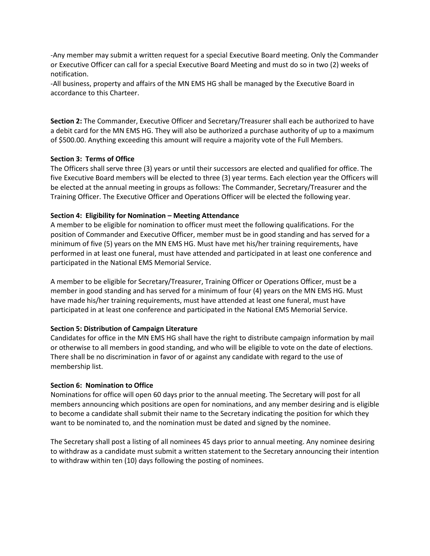-Any member may submit a written request for a special Executive Board meeting. Only the Commander or Executive Officer can call for a special Executive Board Meeting and must do so in two (2) weeks of notification.

-All business, property and affairs of the MN EMS HG shall be managed by the Executive Board in accordance to this Charteer.

**Section 2:** The Commander, Executive Officer and Secretary/Treasurer shall each be authorized to have a debit card for the MN EMS HG. They will also be authorized a purchase authority of up to a maximum of \$500.00. Anything exceeding this amount will require a majority vote of the Full Members.

## **Section 3: Terms of Office**

The Officers shall serve three (3) years or until their successors are elected and qualified for office. The five Executive Board members will be elected to three (3) year terms. Each election year the Officers will be elected at the annual meeting in groups as follows: The Commander, Secretary/Treasurer and the Training Officer. The Executive Officer and Operations Officer will be elected the following year.

## **Section 4: Eligibility for Nomination – Meeting Attendance**

A member to be eligible for nomination to officer must meet the following qualifications. For the position of Commander and Executive Officer, member must be in good standing and has served for a minimum of five (5) years on the MN EMS HG. Must have met his/her training requirements, have performed in at least one funeral, must have attended and participated in at least one conference and participated in the National EMS Memorial Service.

A member to be eligible for Secretary/Treasurer, Training Officer or Operations Officer, must be a member in good standing and has served for a minimum of four (4) years on the MN EMS HG. Must have made his/her training requirements, must have attended at least one funeral, must have participated in at least one conference and participated in the National EMS Memorial Service.

## **Section 5: Distribution of Campaign Literature**

Candidates for office in the MN EMS HG shall have the right to distribute campaign information by mail or otherwise to all members in good standing, and who will be eligible to vote on the date of elections. There shall be no discrimination in favor of or against any candidate with regard to the use of membership list.

## **Section 6: Nomination to Office**

Nominations for office will open 60 days prior to the annual meeting. The Secretary will post for all members announcing which positions are open for nominations, and any member desiring and is eligible to become a candidate shall submit their name to the Secretary indicating the position for which they want to be nominated to, and the nomination must be dated and signed by the nominee.

The Secretary shall post a listing of all nominees 45 days prior to annual meeting. Any nominee desiring to withdraw as a candidate must submit a written statement to the Secretary announcing their intention to withdraw within ten (10) days following the posting of nominees.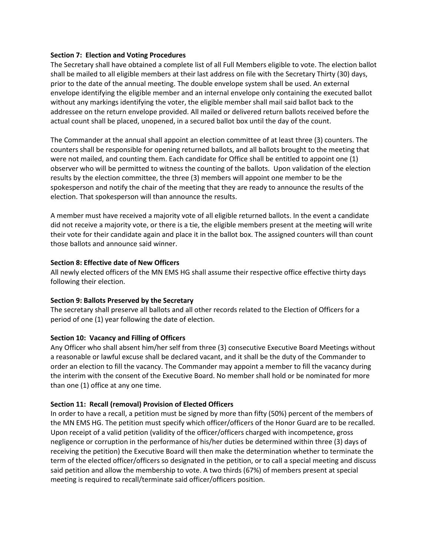#### **Section 7: Election and Voting Procedures**

The Secretary shall have obtained a complete list of all Full Members eligible to vote. The election ballot shall be mailed to all eligible members at their last address on file with the Secretary Thirty (30) days, prior to the date of the annual meeting. The double envelope system shall be used. An external envelope identifying the eligible member and an internal envelope only containing the executed ballot without any markings identifying the voter, the eligible member shall mail said ballot back to the addressee on the return envelope provided. All mailed or delivered return ballots received before the actual count shall be placed, unopened, in a secured ballot box until the day of the count.

The Commander at the annual shall appoint an election committee of at least three (3) counters. The counters shall be responsible for opening returned ballots, and all ballots brought to the meeting that were not mailed, and counting them. Each candidate for Office shall be entitled to appoint one (1) observer who will be permitted to witness the counting of the ballots. Upon validation of the election results by the election committee, the three (3) members will appoint one member to be the spokesperson and notify the chair of the meeting that they are ready to announce the results of the election. That spokesperson will than announce the results.

A member must have received a majority vote of all eligible returned ballots. In the event a candidate did not receive a majority vote, or there is a tie, the eligible members present at the meeting will write their vote for their candidate again and place it in the ballot box. The assigned counters will than count those ballots and announce said winner.

## **Section 8: Effective date of New Officers**

All newly elected officers of the MN EMS HG shall assume their respective office effective thirty days following their election.

#### **Section 9: Ballots Preserved by the Secretary**

The secretary shall preserve all ballots and all other records related to the Election of Officers for a period of one (1) year following the date of election.

## **Section 10: Vacancy and Filling of Officers**

Any Officer who shall absent him/her self from three (3) consecutive Executive Board Meetings without a reasonable or lawful excuse shall be declared vacant, and it shall be the duty of the Commander to order an election to fill the vacancy. The Commander may appoint a member to fill the vacancy during the interim with the consent of the Executive Board. No member shall hold or be nominated for more than one (1) office at any one time.

## **Section 11: Recall (removal) Provision of Elected Officers**

In order to have a recall, a petition must be signed by more than fifty (50%) percent of the members of the MN EMS HG. The petition must specify which officer/officers of the Honor Guard are to be recalled. Upon receipt of a valid petition (validity of the officer/officers charged with incompetence, gross negligence or corruption in the performance of his/her duties be determined within three (3) days of receiving the petition) the Executive Board will then make the determination whether to terminate the term of the elected officer/officers so designated in the petition, or to call a special meeting and discuss said petition and allow the membership to vote. A two thirds (67%) of members present at special meeting is required to recall/terminate said officer/officers position.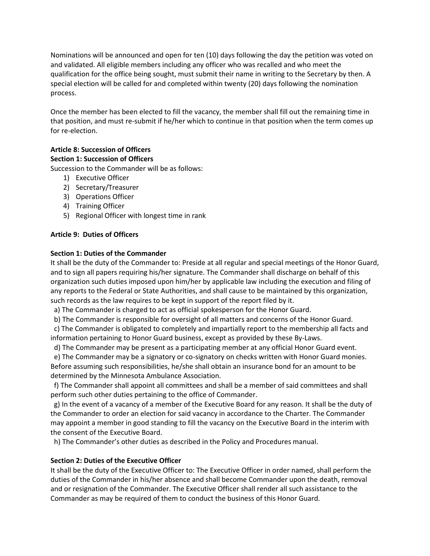Nominations will be announced and open for ten (10) days following the day the petition was voted on and validated. All eligible members including any officer who was recalled and who meet the qualification for the office being sought, must submit their name in writing to the Secretary by then. A special election will be called for and completed within twenty (20) days following the nomination process.

Once the member has been elected to fill the vacancy, the member shall fill out the remaining time in that position, and must re-submit if he/her which to continue in that position when the term comes up for re-election.

## **Article 8: Succession of Officers Section 1: Succession of Officers**

Succession to the Commander will be as follows:

- 1) Executive Officer
- 2) Secretary/Treasurer
- 3) Operations Officer
- 4) Training Officer
- 5) Regional Officer with longest time in rank

## **Article 9: Duties of Officers**

## **Section 1: Duties of the Commander**

It shall be the duty of the Commander to: Preside at all regular and special meetings of the Honor Guard, and to sign all papers requiring his/her signature. The Commander shall discharge on behalf of this organization such duties imposed upon him/her by applicable law including the execution and filing of any reports to the Federal or State Authorities, and shall cause to be maintained by this organization, such records as the law requires to be kept in support of the report filed by it.

a) The Commander is charged to act as official spokesperson for the Honor Guard.

b) The Commander is responsible for oversight of all matters and concerns of the Honor Guard.

 c) The Commander is obligated to completely and impartially report to the membership all facts and information pertaining to Honor Guard business, except as provided by these By-Laws.

d) The Commander may be present as a participating member at any official Honor Guard event.

 e) The Commander may be a signatory or co-signatory on checks written with Honor Guard monies. Before assuming such responsibilities, he/she shall obtain an insurance bond for an amount to be determined by the Minnesota Ambulance Association.

 f) The Commander shall appoint all committees and shall be a member of said committees and shall perform such other duties pertaining to the office of Commander.

 g) In the event of a vacancy of a member of the Executive Board for any reason. It shall be the duty of the Commander to order an election for said vacancy in accordance to the Charter. The Commander may appoint a member in good standing to fill the vacancy on the Executive Board in the interim with the consent of the Executive Board.

h) The Commander's other duties as described in the Policy and Procedures manual.

## **Section 2: Duties of the Executive Officer**

It shall be the duty of the Executive Officer to: The Executive Officer in order named, shall perform the duties of the Commander in his/her absence and shall become Commander upon the death, removal and or resignation of the Commander. The Executive Officer shall render all such assistance to the Commander as may be required of them to conduct the business of this Honor Guard.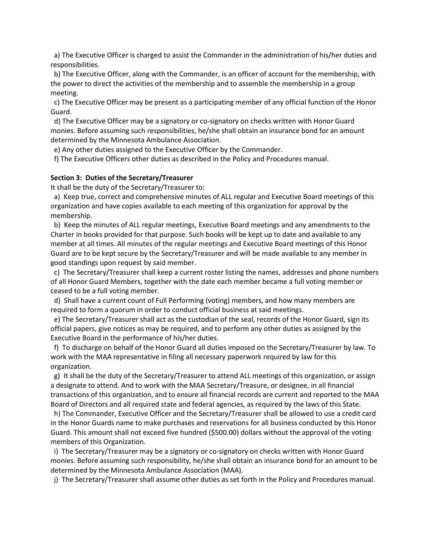a) The Executive Officer is charged to assist the Commander in the administration of his/her duties and responsibilities.

 b) The Executive Officer, along with the Commander, is an officer of account for the membership, with the power to direct the activities of the membership and to assemble the membership in a group meeting.

 c) The Executive Officer may be present as a participating member of any official function of the Honor Guard.

 d) The Executive Officer may be a signatory or co-signatory on checks written with Honor Guard monies. Before assuming such responsibilities, he/she shall obtain an insurance bond for an amount determined by the Minnesota Ambulance Association.

e) Any other duties assigned to the Executive Officer by the Commander.

f) The Executive Officers other duties as described in the Policy and Procedures manual.

#### **Section 3: Duties of the Secretary/Treasurer**

It shall be the duty of the Secretary/Treasurer to:

a) Keep true, correct and comprehensive minutes of ALL regular and Executive Board meetings of this organization and have copies available to each meeting of this organization for approval by the membership.

 b) Keep the minutes of ALL regular meetings, Executive Board meetings and any amendments to the Charter in books provided for that purpose. Such books will be kept up to date and available to any member at all times. All minutes of the regular meetings and Executive Board meetings of this Honor Guard are to be kept secure by the Secretary/Treasurer and will be made available to any member in good standings upon request by said member.

 c) The Secretary/Treasurer shall keep a current roster listing the names, addresses and phone numbers of all Honor Guard Members, together with the date each member became a full voting member or ceased to be a full voting member.

 d) Shall have a current count of Full Performing (voting) members, and how many members are required to form a quorum in order to conduct official business at said meetings.

 e) The Secretary/Treasurer shall act as the custodian of the seal, records of the Honor Guard, sign its official papers, give notices as may be required, and to perform any other duties as assigned by the Executive Board in the performance of his/her duties.

 f) To discharge on behalf of the Honor Guard all duties imposed on the Secretary/Treasurer by law. To work with the MAA representative in filing all necessary paperwork required by law for this organization.

 g) It shall be the duty of the Secretary/Treasurer to attend ALL meetings of this organization, or assign a designate to attend. And to work with the MAA Secretary/Treasure, or designee, in all financial transactions of this organization, and to ensure all financial records are current and reported to the MAA Board of Directors and all required state and federal agencies, as required by the laws of this State.

 h) The Commander, Executive Officer and the Secretary/Treasurer shall be allowed to use a credit card in the Honor Guards name to make purchases and reservations for all business conducted by this Honor Guard. This amount shall not exceed five hundred (\$500.00) dollars without the approval of the voting members of this Organization.

 i) The Secretary/Treasurer may be a signatory or co-signatory on checks written with Honor Guard monies. Before assuming such responsibility, he/she shall obtain an insurance bond for an amount to be determined by the Minnesota Ambulance Association (MAA).

j) The Secretary/Treasurer shall assume other duties as set forth in the Policy and Procedures manual.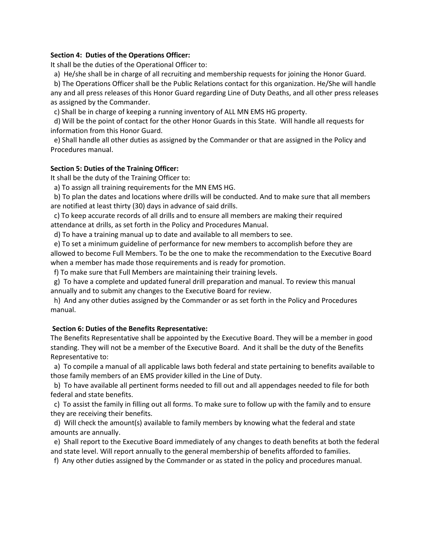#### **Section 4: Duties of the Operations Officer:**

It shall be the duties of the Operational Officer to:

a) He/she shall be in charge of all recruiting and membership requests for joining the Honor Guard.

 b) The Operations Officer shall be the Public Relations contact for this organization. He/She will handle any and all press releases of this Honor Guard regarding Line of Duty Deaths, and all other press releases as assigned by the Commander.

c) Shall be in charge of keeping a running inventory of ALL MN EMS HG property.

 d) Will be the point of contact for the other Honor Guards in this State. Will handle all requests for information from this Honor Guard.

 e) Shall handle all other duties as assigned by the Commander or that are assigned in the Policy and Procedures manual.

#### **Section 5: Duties of the Training Officer:**

It shall be the duty of the Training Officer to:

a) To assign all training requirements for the MN EMS HG.

 b) To plan the dates and locations where drills will be conducted. And to make sure that all members are notified at least thirty (30) days in advance of said drills.

 c) To keep accurate records of all drills and to ensure all members are making their required attendance at drills, as set forth in the Policy and Procedures Manual.

d) To have a training manual up to date and available to all members to see.

 e) To set a minimum guideline of performance for new members to accomplish before they are allowed to become Full Members. To be the one to make the recommendation to the Executive Board when a member has made those requirements and is ready for promotion.

f) To make sure that Full Members are maintaining their training levels.

 g) To have a complete and updated funeral drill preparation and manual. To review this manual annually and to submit any changes to the Executive Board for review.

 h) And any other duties assigned by the Commander or as set forth in the Policy and Procedures manual.

#### **Section 6: Duties of the Benefits Representative:**

The Benefits Representative shall be appointed by the Executive Board. They will be a member in good standing. They will not be a member of the Executive Board. And it shall be the duty of the Benefits Representative to:

 a) To compile a manual of all applicable laws both federal and state pertaining to benefits available to those family members of an EMS provider killed in the Line of Duty.

 b) To have available all pertinent forms needed to fill out and all appendages needed to file for both federal and state benefits.

 c) To assist the family in filling out all forms. To make sure to follow up with the family and to ensure they are receiving their benefits.

 d) Will check the amount(s) available to family members by knowing what the federal and state amounts are annually.

 e) Shall report to the Executive Board immediately of any changes to death benefits at both the federal and state level. Will report annually to the general membership of benefits afforded to families.

f) Any other duties assigned by the Commander or as stated in the policy and procedures manual.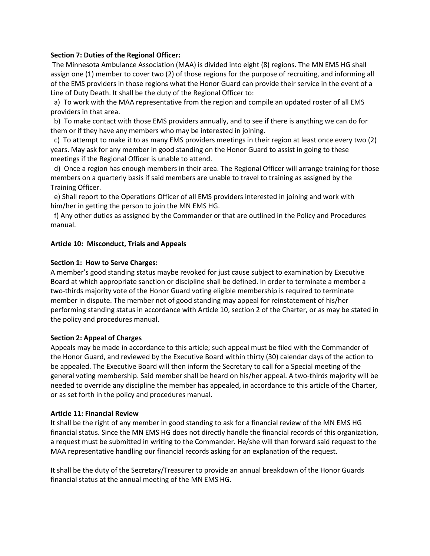#### **Section 7: Duties of the Regional Officer:**

The Minnesota Ambulance Association (MAA) is divided into eight (8) regions. The MN EMS HG shall assign one (1) member to cover two (2) of those regions for the purpose of recruiting, and informing all of the EMS providers in those regions what the Honor Guard can provide their service in the event of a Line of Duty Death. It shall be the duty of the Regional Officer to:

 a) To work with the MAA representative from the region and compile an updated roster of all EMS providers in that area.

 b) To make contact with those EMS providers annually, and to see if there is anything we can do for them or if they have any members who may be interested in joining.

 c) To attempt to make it to as many EMS providers meetings in their region at least once every two (2) years. May ask for any member in good standing on the Honor Guard to assist in going to these meetings if the Regional Officer is unable to attend.

 d) Once a region has enough members in their area. The Regional Officer will arrange training for those members on a quarterly basis if said members are unable to travel to training as assigned by the Training Officer.

 e) Shall report to the Operations Officer of all EMS providers interested in joining and work with him/her in getting the person to join the MN EMS HG.

 f) Any other duties as assigned by the Commander or that are outlined in the Policy and Procedures manual.

#### **Article 10: Misconduct, Trials and Appeals**

#### **Section 1: How to Serve Charges:**

A member's good standing status maybe revoked for just cause subject to examination by Executive Board at which appropriate sanction or discipline shall be defined. In order to terminate a member a two-thirds majority vote of the Honor Guard voting eligible membership is required to terminate member in dispute. The member not of good standing may appeal for reinstatement of his/her performing standing status in accordance with Article 10, section 2 of the Charter, or as may be stated in the policy and procedures manual.

#### **Section 2: Appeal of Charges**

Appeals may be made in accordance to this article; such appeal must be filed with the Commander of the Honor Guard, and reviewed by the Executive Board within thirty (30) calendar days of the action to be appealed. The Executive Board will then inform the Secretary to call for a Special meeting of the general voting membership. Said member shall be heard on his/her appeal. A two-thirds majority will be needed to override any discipline the member has appealed, in accordance to this article of the Charter, or as set forth in the policy and procedures manual.

#### **Article 11: Financial Review**

It shall be the right of any member in good standing to ask for a financial review of the MN EMS HG financial status. Since the MN EMS HG does not directly handle the financial records of this organization, a request must be submitted in writing to the Commander. He/she will than forward said request to the MAA representative handling our financial records asking for an explanation of the request.

It shall be the duty of the Secretary/Treasurer to provide an annual breakdown of the Honor Guards financial status at the annual meeting of the MN EMS HG.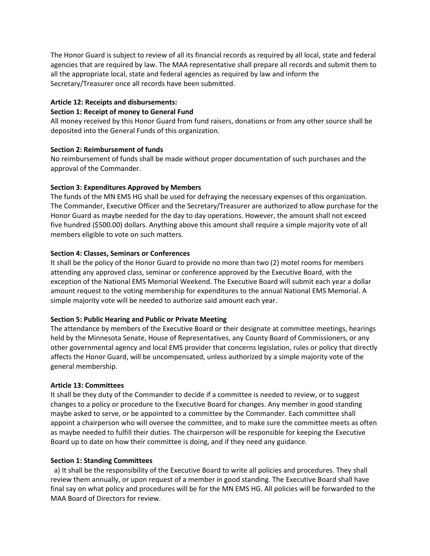The Honor Guard is subject to review of all its financial records as required by all local, state and federal agencies that are required by law. The MAA representative shall prepare all records and submit them to all the appropriate local, state and federal agencies as required by law and inform the Secretary/Treasurer once all records have been submitted.

## **Article 12: Receipts and disbursements:**

#### **Section 1: Receipt of money to General Fund**

All money received by this Honor Guard from fund raisers, donations or from any other source shall be deposited into the General Funds of this organization.

## **Section 2: Reimbursement of funds**

No reimbursement of funds shall be made without proper documentation of such purchases and the approval of the Commander.

## **Section 3: Expenditures Approved by Members**

The funds of the MN EMS HG shall be used for defraying the necessary expenses of this organization. The Commander, Executive Officer and the Secretary/Treasurer are authorized to allow purchase for the Honor Guard as maybe needed for the day to day operations. However, the amount shall not exceed five hundred (\$500.00) dollars. Anything above this amount shall require a simple majority vote of all members eligible to vote on such matters.

## **Section 4: Classes, Seminars or Conferences**

It shall be the policy of the Honor Guard to provide no more than two (2) motel rooms for members attending any approved class, seminar or conference approved by the Executive Board, with the exception of the National EMS Memorial Weekend. The Executive Board will submit each year a dollar amount request to the voting membership for expenditures to the annual National EMS Memorial. A simple majority vote will be needed to authorize said amount each year.

## **Section 5: Public Hearing and Public or Private Meeting**

The attendance by members of the Executive Board or their designate at committee meetings, hearings held by the Minnesota Senate, House of Representatives, any County Board of Commissioners, or any other governmental agency and local EMS provider that concerns legislation, rules or policy that directly affects the Honor Guard, will be uncompensated, unless authorized by a simple majority vote of the general membership.

## **Article 13: Committees**

It shall be they duty of the Commander to decide if a committee is needed to review, or to suggest changes to a policy or procedure to the Executive Board for changes. Any member in good standing maybe asked to serve, or be appointed to a committee by the Commander. Each committee shall appoint a chairperson who will oversee the committee, and to make sure the committee meets as often as maybe needed to fulfill their duties. The chairperson will be responsible for keeping the Executive Board up to date on how their committee is doing, and if they need any guidance.

## **Section 1: Standing Committees**

 a) It shall be the responsibility of the Executive Board to write all policies and procedures. They shall review them annually, or upon request of a member in good standing. The Executive Board shall have final say on what policy and procedures will be for the MN EMS HG. All policies will be forwarded to the MAA Board of Directors for review.